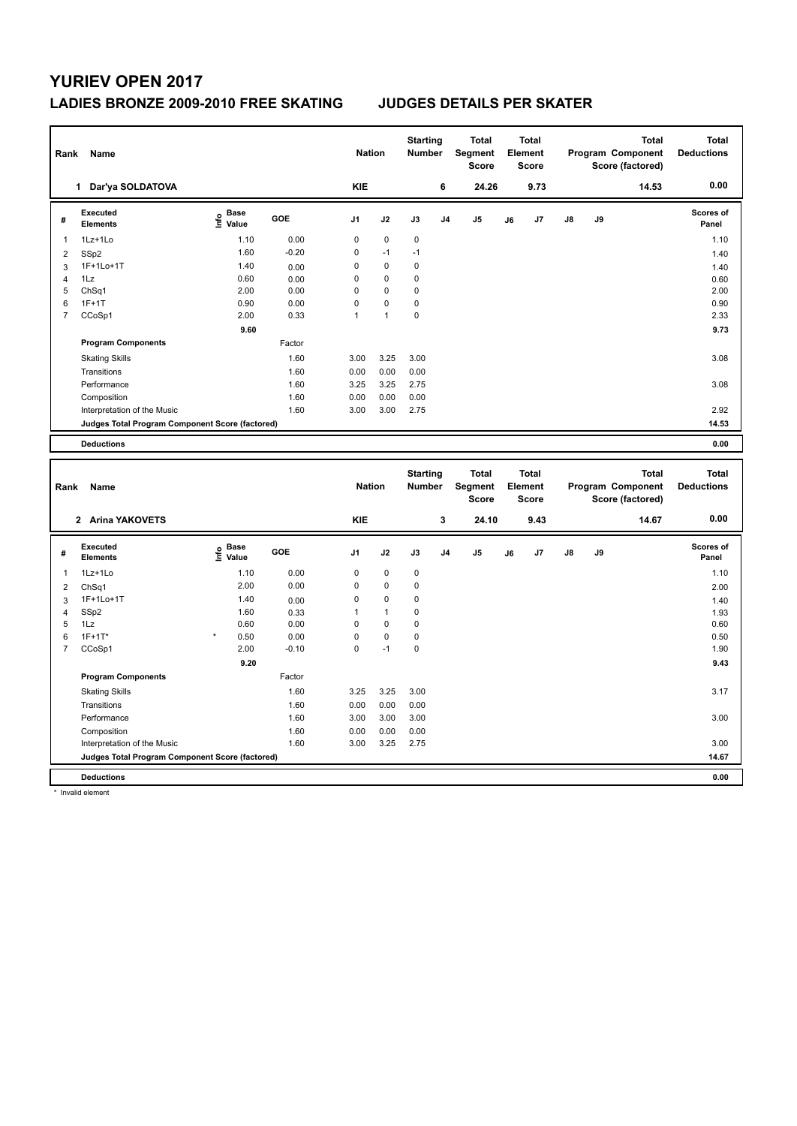### **LADIES BRONZE 2009-2010 FREE SKATING JUDGES DETAILS PER SKATER**

| Rank           | Name                                            |                                  |         |                | <b>Nation</b>  | <b>Starting</b><br><b>Number</b> |                | <b>Total</b><br>Segment<br><b>Score</b> |    | Total<br>Element<br><b>Score</b> |               |    | <b>Total</b><br><b>Program Component</b><br>Score (factored) | Total<br><b>Deductions</b>        |
|----------------|-------------------------------------------------|----------------------------------|---------|----------------|----------------|----------------------------------|----------------|-----------------------------------------|----|----------------------------------|---------------|----|--------------------------------------------------------------|-----------------------------------|
|                | Dar'ya SOLDATOVA<br>1                           |                                  |         | <b>KIE</b>     |                |                                  | 6              | 24.26                                   |    | 9.73                             |               |    | 14.53                                                        | 0.00                              |
| #              | Executed<br><b>Elements</b>                     | <b>Base</b><br>e Base<br>E Value | GOE     | J <sub>1</sub> | J2             | J3                               | J <sub>4</sub> | J <sub>5</sub>                          | J6 | J7                               | $\mathsf{J}8$ | J9 |                                                              | <b>Scores of</b><br>Panel         |
| 1              | 1Lz+1Lo                                         | 1.10                             | 0.00    | 0              | $\mathbf 0$    | 0                                |                |                                         |    |                                  |               |    |                                                              | 1.10                              |
| 2              | SSp2                                            | 1.60                             | $-0.20$ | $\Omega$       | $-1$           | $-1$                             |                |                                         |    |                                  |               |    |                                                              | 1.40                              |
| 3              | 1F+1Lo+1T                                       | 1.40                             | 0.00    | 0              | $\mathbf 0$    | 0                                |                |                                         |    |                                  |               |    |                                                              | 1.40                              |
| 4              | 1Lz                                             | 0.60                             | 0.00    | 0              | $\mathbf 0$    | 0                                |                |                                         |    |                                  |               |    |                                                              | 0.60                              |
| 5              | ChSq1                                           | 2.00                             | 0.00    | 0              | 0              | $\mathbf 0$                      |                |                                         |    |                                  |               |    |                                                              | 2.00                              |
| 6              | $1F+1T$                                         | 0.90                             | 0.00    | $\Omega$       | $\mathbf{0}$   | 0                                |                |                                         |    |                                  |               |    |                                                              | 0.90                              |
| $\overline{7}$ | CCoSp1                                          | 2.00                             | 0.33    | 1              | $\overline{1}$ | $\mathbf 0$                      |                |                                         |    |                                  |               |    |                                                              | 2.33                              |
|                |                                                 | 9.60                             |         |                |                |                                  |                |                                         |    |                                  |               |    |                                                              | 9.73                              |
|                | <b>Program Components</b>                       |                                  | Factor  |                |                |                                  |                |                                         |    |                                  |               |    |                                                              |                                   |
|                | <b>Skating Skills</b>                           |                                  | 1.60    | 3.00           | 3.25           | 3.00                             |                |                                         |    |                                  |               |    |                                                              | 3.08                              |
|                | Transitions                                     |                                  | 1.60    | 0.00           | 0.00           | 0.00                             |                |                                         |    |                                  |               |    |                                                              |                                   |
|                | Performance                                     |                                  | 1.60    | 3.25           | 3.25           | 2.75                             |                |                                         |    |                                  |               |    |                                                              | 3.08                              |
|                | Composition                                     |                                  | 1.60    | 0.00           | 0.00           | 0.00                             |                |                                         |    |                                  |               |    |                                                              |                                   |
|                | Interpretation of the Music                     |                                  | 1.60    | 3.00           | 3.00           | 2.75                             |                |                                         |    |                                  |               |    |                                                              | 2.92                              |
|                | Judges Total Program Component Score (factored) |                                  |         |                |                |                                  |                |                                         |    |                                  |               |    |                                                              | 14.53                             |
|                | <b>Deductions</b>                               |                                  |         |                |                |                                  |                |                                         |    |                                  |               |    |                                                              | 0.00                              |
|                |                                                 |                                  |         |                |                |                                  |                |                                         |    |                                  |               |    |                                                              |                                   |
| Rank           | Name                                            |                                  |         |                | <b>Nation</b>  | <b>Starting</b><br><b>Number</b> |                | <b>Total</b><br><b>Segment</b>          |    | <b>Total</b><br>Element          |               |    | <b>Total</b><br>Program Component                            | <b>Total</b><br><b>Deductions</b> |
|                |                                                 |                                  |         |                |                |                                  |                | <b>Score</b>                            |    | Score                            |               |    | Score (factored)                                             |                                   |

|                |                                                 |                                  |         |                |              |             |                | <b>Score</b>   |    | <b>Score</b> |    |    | Score (factored) |                           |
|----------------|-------------------------------------------------|----------------------------------|---------|----------------|--------------|-------------|----------------|----------------|----|--------------|----|----|------------------|---------------------------|
|                | 2 Arina YAKOVETS                                |                                  |         | <b>KIE</b>     |              |             | 3              | 24.10          |    | 9.43         |    |    | 14.67            | 0.00                      |
| #              | <b>Executed</b><br><b>Elements</b>              | <b>Base</b><br>e Base<br>⊆ Value | GOE     | J <sub>1</sub> | J2           | J3          | J <sub>4</sub> | J <sub>5</sub> | J6 | J7           | J8 | J9 |                  | <b>Scores of</b><br>Panel |
| 1              | 1Lz+1Lo                                         | 1.10                             | 0.00    | 0              | $\mathbf 0$  | $\mathbf 0$ |                |                |    |              |    |    |                  | 1.10                      |
| 2              | ChSq1                                           | 2.00                             | 0.00    | 0              | $\mathbf 0$  | 0           |                |                |    |              |    |    |                  | 2.00                      |
| 3              | 1F+1Lo+1T                                       | 1.40                             | 0.00    | $\mathbf 0$    | $\mathbf 0$  | $\mathbf 0$ |                |                |    |              |    |    |                  | 1.40                      |
| 4              | SSp2                                            | 1.60                             | 0.33    | 1              | $\mathbf{1}$ | 0           |                |                |    |              |    |    |                  | 1.93                      |
| 5              | 1Lz                                             | 0.60                             | 0.00    | 0              | $\mathbf 0$  | $\mathbf 0$ |                |                |    |              |    |    |                  | 0.60                      |
| 6              | $1F+1T^*$                                       | $\star$<br>0.50                  | 0.00    | $\mathbf 0$    | $\mathbf 0$  | $\mathbf 0$ |                |                |    |              |    |    |                  | 0.50                      |
| $\overline{7}$ | CCoSp1                                          | 2.00                             | $-0.10$ | 0              | $-1$         | 0           |                |                |    |              |    |    |                  | 1.90                      |
|                |                                                 | 9.20                             |         |                |              |             |                |                |    |              |    |    |                  | 9.43                      |
|                | <b>Program Components</b>                       |                                  | Factor  |                |              |             |                |                |    |              |    |    |                  |                           |
|                | <b>Skating Skills</b>                           |                                  | 1.60    | 3.25           | 3.25         | 3.00        |                |                |    |              |    |    |                  | 3.17                      |
|                | Transitions                                     |                                  | 1.60    | 0.00           | 0.00         | 0.00        |                |                |    |              |    |    |                  |                           |
|                | Performance                                     |                                  | 1.60    | 3.00           | 3.00         | 3.00        |                |                |    |              |    |    |                  | 3.00                      |
|                | Composition                                     |                                  | 1.60    | 0.00           | 0.00         | 0.00        |                |                |    |              |    |    |                  |                           |
|                | Interpretation of the Music                     |                                  | 1.60    | 3.00           | 3.25         | 2.75        |                |                |    |              |    |    |                  | 3.00                      |
|                | Judges Total Program Component Score (factored) |                                  |         |                |              |             |                |                |    |              |    |    |                  | 14.67                     |
|                | <b>Deductions</b>                               |                                  |         |                |              |             |                |                |    |              |    |    |                  | 0.00                      |

\* Invalid element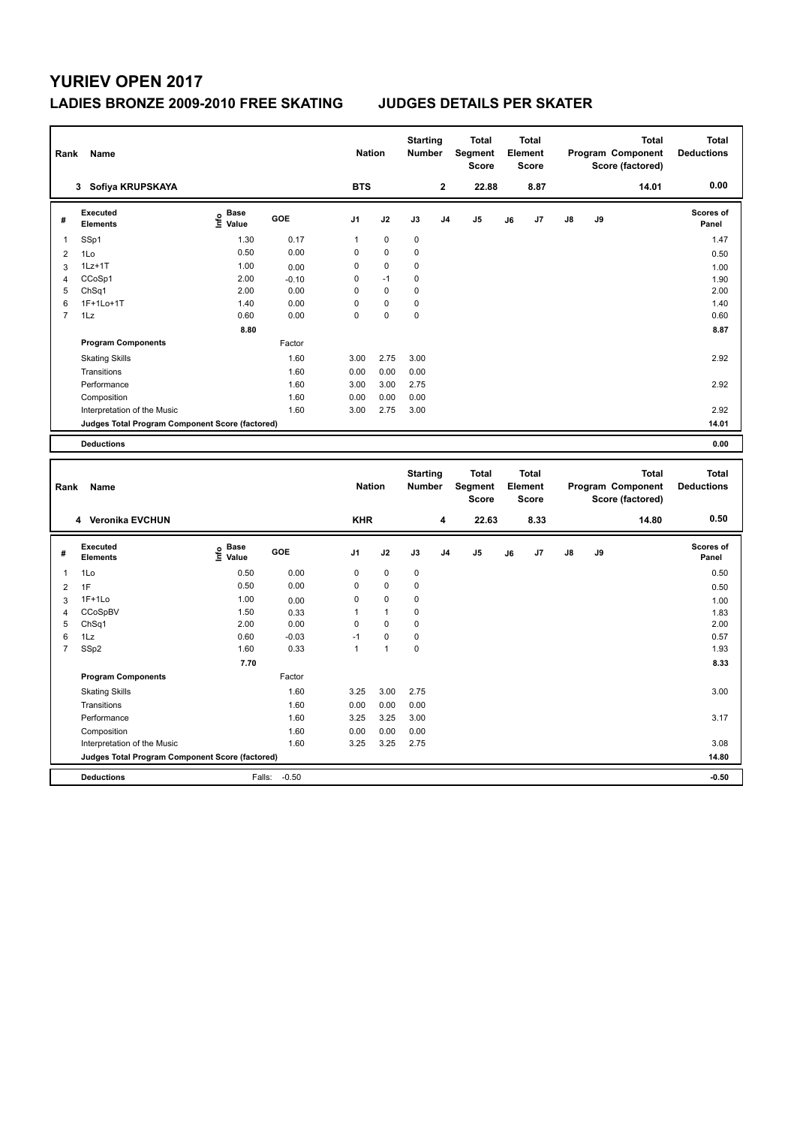### **LADIES BRONZE 2009-2010 FREE SKATING JUDGES DETAILS PER SKATER**

| Rank | Name                                            |                                           |            | <b>Nation</b>  |             | <b>Starting</b><br>Number        |                | <b>Total</b><br>Segment<br><b>Score</b> |    | <b>Total</b><br>Element<br>Score |               |    | <b>Total</b><br>Program Component<br>Score (factored) | <b>Total</b><br><b>Deductions</b> |
|------|-------------------------------------------------|-------------------------------------------|------------|----------------|-------------|----------------------------------|----------------|-----------------------------------------|----|----------------------------------|---------------|----|-------------------------------------------------------|-----------------------------------|
|      | 3 Sofiya KRUPSKAYA                              |                                           |            | <b>BTS</b>     |             |                                  | $\mathbf{2}$   | 22.88                                   |    | 8.87                             |               |    | 14.01                                                 | 0.00                              |
| #    | <b>Executed</b><br><b>Elements</b>              | $\frac{6}{5}$ Base<br>$\frac{1}{5}$ Value | <b>GOE</b> | J <sub>1</sub> | J2          | J3                               | J <sub>4</sub> | J <sub>5</sub>                          | J6 | J7                               | $\mathsf{J}8$ | J9 |                                                       | Scores of<br>Panel                |
| 1    | SSp1                                            | 1.30                                      | 0.17       | 1              | 0           | 0                                |                |                                         |    |                                  |               |    |                                                       | 1.47                              |
| 2    | 1Lo                                             | 0.50                                      | 0.00       | $\Omega$       | $\mathbf 0$ | 0                                |                |                                         |    |                                  |               |    |                                                       | 0.50                              |
| 3    | $1Lz+1T$                                        | 1.00                                      | 0.00       | 0              | 0           | 0                                |                |                                         |    |                                  |               |    |                                                       | 1.00                              |
| 4    | CCoSp1                                          | 2.00                                      | $-0.10$    | 0              | $-1$        | 0                                |                |                                         |    |                                  |               |    |                                                       | 1.90                              |
| 5    | ChSq1                                           | 2.00                                      | 0.00       | $\Omega$       | $\Omega$    | 0                                |                |                                         |    |                                  |               |    |                                                       | 2.00                              |
| 6    | 1F+1Lo+1T                                       | 1.40                                      | 0.00       | $\mathbf 0$    | 0           | 0                                |                |                                         |    |                                  |               |    |                                                       | 1.40                              |
| 7    | 1Lz                                             | 0.60                                      | 0.00       | 0              | 0           | 0                                |                |                                         |    |                                  |               |    |                                                       | 0.60                              |
|      |                                                 | 8.80                                      |            |                |             |                                  |                |                                         |    |                                  |               |    |                                                       | 8.87                              |
|      | <b>Program Components</b>                       |                                           | Factor     |                |             |                                  |                |                                         |    |                                  |               |    |                                                       |                                   |
|      | <b>Skating Skills</b>                           |                                           | 1.60       | 3.00           | 2.75        | 3.00                             |                |                                         |    |                                  |               |    |                                                       | 2.92                              |
|      | Transitions                                     |                                           | 1.60       | 0.00           | 0.00        | 0.00                             |                |                                         |    |                                  |               |    |                                                       |                                   |
|      | Performance                                     |                                           | 1.60       | 3.00           | 3.00        | 2.75                             |                |                                         |    |                                  |               |    |                                                       | 2.92                              |
|      | Composition                                     |                                           | 1.60       | 0.00           | 0.00        | 0.00                             |                |                                         |    |                                  |               |    |                                                       |                                   |
|      | Interpretation of the Music                     |                                           | 1.60       | 3.00           | 2.75        | 3.00                             |                |                                         |    |                                  |               |    |                                                       | 2.92                              |
|      | Judges Total Program Component Score (factored) |                                           |            |                |             |                                  |                |                                         |    |                                  |               |    |                                                       | 14.01                             |
|      | <b>Deductions</b>                               |                                           |            |                |             |                                  |                |                                         |    |                                  |               |    |                                                       | 0.00                              |
| Rank | Name                                            |                                           |            | <b>Nation</b>  |             | <b>Starting</b><br><b>Number</b> |                | <b>Total</b><br>Segment                 |    | <b>Total</b><br><b>Element</b>   |               |    | <b>Total</b><br>Program Component                     | <b>Total</b><br><b>Deductions</b> |

| Rank           | Name                                            |                                  |         | Nation         |              | Number    |                | Segment<br><b>Score</b> |    | Element<br><b>Score</b> |               |    | Program Component<br>Score (factored) | <b>Deductions</b>         |
|----------------|-------------------------------------------------|----------------------------------|---------|----------------|--------------|-----------|----------------|-------------------------|----|-------------------------|---------------|----|---------------------------------------|---------------------------|
|                | 4 Veronika EVCHUN                               |                                  |         | <b>KHR</b>     |              |           | 4              | 22.63                   |    | 8.33                    |               |    | 14.80                                 | 0.50                      |
| #              | Executed<br><b>Elements</b>                     | <b>Base</b><br>e Base<br>⊆ Value | GOE     | J <sub>1</sub> | J2           | J3        | J <sub>4</sub> | J5                      | J6 | J <sub>7</sub>          | $\mathsf{J}8$ | J9 |                                       | <b>Scores of</b><br>Panel |
| $\overline{1}$ | 1Lo                                             | 0.50                             | 0.00    | 0              | $\pmb{0}$    | $\pmb{0}$ |                |                         |    |                         |               |    |                                       | 0.50                      |
| $\overline{2}$ | 1F                                              | 0.50                             | 0.00    | 0              | $\mathbf 0$  | 0         |                |                         |    |                         |               |    |                                       | 0.50                      |
| 3              | $1F+1Lo$                                        | 1.00                             | 0.00    | 0              | $\mathbf 0$  | 0         |                |                         |    |                         |               |    |                                       | 1.00                      |
| $\overline{4}$ | CCoSpBV                                         | 1.50                             | 0.33    | 1              | $\mathbf{1}$ | 0         |                |                         |    |                         |               |    |                                       | 1.83                      |
| 5              | ChSq1                                           | 2.00                             | 0.00    | 0              | $\mathbf 0$  | 0         |                |                         |    |                         |               |    |                                       | 2.00                      |
| 6              | 1Lz                                             | 0.60                             | $-0.03$ | $-1$           | $\mathbf 0$  | 0         |                |                         |    |                         |               |    |                                       | 0.57                      |
| 7              | SSp2                                            | 1.60                             | 0.33    | 1              | $\mathbf{1}$ | 0         |                |                         |    |                         |               |    |                                       | 1.93                      |
|                |                                                 | 7.70                             |         |                |              |           |                |                         |    |                         |               |    |                                       | 8.33                      |
|                | <b>Program Components</b>                       |                                  | Factor  |                |              |           |                |                         |    |                         |               |    |                                       |                           |
|                | <b>Skating Skills</b>                           |                                  | 1.60    | 3.25           | 3.00         | 2.75      |                |                         |    |                         |               |    |                                       | 3.00                      |
|                | Transitions                                     |                                  | 1.60    | 0.00           | 0.00         | 0.00      |                |                         |    |                         |               |    |                                       |                           |
|                | Performance                                     |                                  | 1.60    | 3.25           | 3.25         | 3.00      |                |                         |    |                         |               |    |                                       | 3.17                      |
|                | Composition                                     |                                  | 1.60    | 0.00           | 0.00         | 0.00      |                |                         |    |                         |               |    |                                       |                           |
|                | Interpretation of the Music                     |                                  | 1.60    | 3.25           | 3.25         | 2.75      |                |                         |    |                         |               |    |                                       | 3.08                      |
|                | Judges Total Program Component Score (factored) |                                  |         |                |              |           |                |                         |    |                         |               |    |                                       | 14.80                     |
|                | <b>Deductions</b>                               | Falls:                           | $-0.50$ |                |              |           |                |                         |    |                         |               |    |                                       | $-0.50$                   |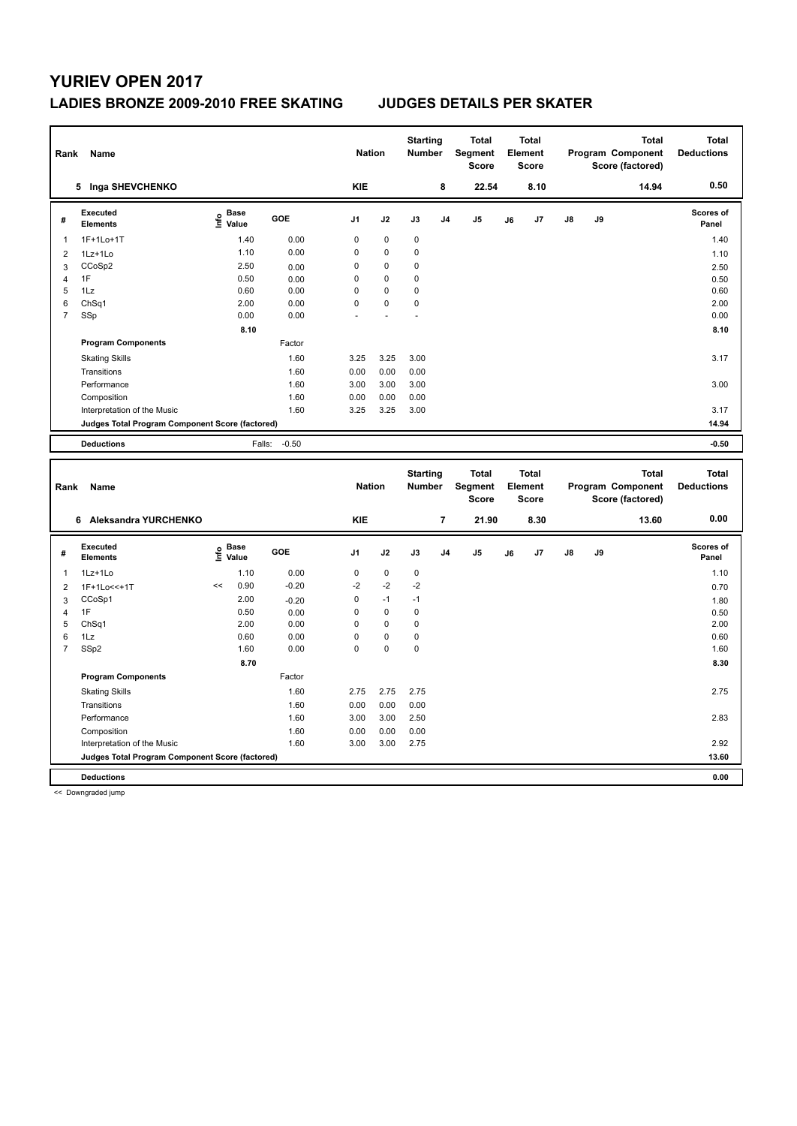### **LADIES BRONZE 2009-2010 FREE SKATING JUDGES DETAILS PER SKATER**

| Rank           | Name                                            |                                  |         | <b>Nation</b>  |             | <b>Starting</b><br><b>Number</b> |                | <b>Total</b><br>Segment<br><b>Score</b>        |    | <b>Total</b><br>Element<br><b>Score</b> |    |    | <b>Total</b><br><b>Program Component</b><br>Score (factored) | <b>Total</b><br><b>Deductions</b> |
|----------------|-------------------------------------------------|----------------------------------|---------|----------------|-------------|----------------------------------|----------------|------------------------------------------------|----|-----------------------------------------|----|----|--------------------------------------------------------------|-----------------------------------|
|                | 5 Inga SHEVCHENKO                               |                                  |         | <b>KIE</b>     |             |                                  | 8              | 22.54                                          |    | 8.10                                    |    |    | 14.94                                                        | 0.50                              |
| #              | Executed<br><b>Elements</b>                     | <b>Base</b><br>e Base<br>E Value | GOE     | J <sub>1</sub> | J2          | J3                               | J <sub>4</sub> | J <sub>5</sub>                                 | J6 | J7                                      | J8 | J9 |                                                              | Scores of<br>Panel                |
| 1              | 1F+1Lo+1T                                       | 1.40                             | 0.00    | 0              | 0           | $\pmb{0}$                        |                |                                                |    |                                         |    |    |                                                              | 1.40                              |
| 2              | 1Lz+1Lo                                         | 1.10                             | 0.00    | 0              | $\mathbf 0$ | $\mathbf 0$                      |                |                                                |    |                                         |    |    |                                                              | 1.10                              |
| 3              | CCoSp2                                          | 2.50                             | 0.00    | 0              | 0           | $\mathbf 0$                      |                |                                                |    |                                         |    |    |                                                              | 2.50                              |
| 4              | 1F                                              | 0.50                             | 0.00    | $\Omega$       | $\Omega$    | $\mathbf 0$                      |                |                                                |    |                                         |    |    |                                                              | 0.50                              |
| 5              | 1Lz                                             | 0.60                             | 0.00    | 0              | 0           | $\mathbf 0$                      |                |                                                |    |                                         |    |    |                                                              | 0.60                              |
| 6              | Ch <sub>Sq1</sub>                               | 2.00                             | 0.00    | 0              | 0           | $\mathbf 0$                      |                |                                                |    |                                         |    |    |                                                              | 2.00                              |
| $\overline{7}$ | SSp                                             | 0.00                             | 0.00    |                |             |                                  |                |                                                |    |                                         |    |    |                                                              | 0.00                              |
|                |                                                 | 8.10                             |         |                |             |                                  |                |                                                |    |                                         |    |    |                                                              | 8.10                              |
|                | <b>Program Components</b>                       |                                  | Factor  |                |             |                                  |                |                                                |    |                                         |    |    |                                                              |                                   |
|                | <b>Skating Skills</b>                           |                                  | 1.60    | 3.25           | 3.25        | 3.00                             |                |                                                |    |                                         |    |    |                                                              | 3.17                              |
|                | Transitions                                     |                                  | 1.60    | 0.00           | 0.00        | 0.00                             |                |                                                |    |                                         |    |    |                                                              |                                   |
|                | Performance                                     |                                  | 1.60    | 3.00           | 3.00        | 3.00                             |                |                                                |    |                                         |    |    |                                                              | 3.00                              |
|                | Composition                                     |                                  | 1.60    | 0.00           | 0.00        | 0.00                             |                |                                                |    |                                         |    |    |                                                              |                                   |
|                | Interpretation of the Music                     |                                  | 1.60    | 3.25           | 3.25        | 3.00                             |                |                                                |    |                                         |    |    |                                                              | 3.17                              |
|                | Judges Total Program Component Score (factored) |                                  |         |                |             |                                  |                |                                                |    |                                         |    |    |                                                              | 14.94                             |
|                | <b>Deductions</b>                               | Falls:                           | $-0.50$ |                |             |                                  |                |                                                |    |                                         |    |    |                                                              | $-0.50$                           |
|                |                                                 |                                  |         |                |             |                                  |                |                                                |    |                                         |    |    |                                                              |                                   |
| Rank           | Name                                            |                                  |         | <b>Nation</b>  |             | <b>Starting</b><br><b>Number</b> |                | <b>Total</b><br><b>Segment</b><br><b>Score</b> |    | <b>Total</b><br>Element<br><b>Score</b> |    |    | <b>Total</b><br>Program Component<br>Score (factored)        | <b>Total</b><br><b>Deductions</b> |

|   |                                                 |    |                                  |            |                |             |      |                | Score |    | <b>Score</b> |               |    | Score (factored) |                           |
|---|-------------------------------------------------|----|----------------------------------|------------|----------------|-------------|------|----------------|-------|----|--------------|---------------|----|------------------|---------------------------|
|   | Aleksandra YURCHENKO<br>6                       |    |                                  |            | <b>KIE</b>     |             |      | $\overline{7}$ | 21.90 |    | 8.30         |               |    | 13.60            | 0.00                      |
| # | Executed<br><b>Elements</b>                     |    | <b>Base</b><br>e Base<br>⊆ Value | <b>GOE</b> | J <sub>1</sub> | J2          | J3   | J <sub>4</sub> | J5    | J6 | J7           | $\mathsf{J}8$ | J9 |                  | <b>Scores of</b><br>Panel |
| 1 | 1Lz+1Lo                                         |    | 1.10                             | 0.00       | 0              | $\mathbf 0$ | 0    |                |       |    |              |               |    |                  | 1.10                      |
| 2 | 1F+1Lo<<+1T                                     | << | 0.90                             | $-0.20$    | $-2$           | $-2$        | $-2$ |                |       |    |              |               |    |                  | 0.70                      |
| 3 | CCoSp1                                          |    | 2.00                             | $-0.20$    | 0              | $-1$        | $-1$ |                |       |    |              |               |    |                  | 1.80                      |
| 4 | 1F                                              |    | 0.50                             | 0.00       | 0              | $\pmb{0}$   | 0    |                |       |    |              |               |    |                  | 0.50                      |
| 5 | Ch <sub>Sq1</sub>                               |    | 2.00                             | 0.00       | 0              | $\mathbf 0$ | 0    |                |       |    |              |               |    |                  | 2.00                      |
| 6 | 1Lz                                             |    | 0.60                             | 0.00       | 0              | $\pmb{0}$   | 0    |                |       |    |              |               |    |                  | 0.60                      |
| 7 | SSp2                                            |    | 1.60                             | 0.00       | 0              | $\pmb{0}$   | 0    |                |       |    |              |               |    |                  | 1.60                      |
|   |                                                 |    | 8.70                             |            |                |             |      |                |       |    |              |               |    |                  | 8.30                      |
|   | <b>Program Components</b>                       |    |                                  | Factor     |                |             |      |                |       |    |              |               |    |                  |                           |
|   | <b>Skating Skills</b>                           |    |                                  | 1.60       | 2.75           | 2.75        | 2.75 |                |       |    |              |               |    |                  | 2.75                      |
|   | Transitions                                     |    |                                  | 1.60       | 0.00           | 0.00        | 0.00 |                |       |    |              |               |    |                  |                           |
|   | Performance                                     |    |                                  | 1.60       | 3.00           | 3.00        | 2.50 |                |       |    |              |               |    |                  | 2.83                      |
|   | Composition                                     |    |                                  | 1.60       | 0.00           | 0.00        | 0.00 |                |       |    |              |               |    |                  |                           |
|   | Interpretation of the Music                     |    |                                  | 1.60       | 3.00           | 3.00        | 2.75 |                |       |    |              |               |    |                  | 2.92                      |
|   | Judges Total Program Component Score (factored) |    |                                  |            |                |             |      |                |       |    |              |               |    |                  | 13.60                     |
|   | <b>Deductions</b>                               |    |                                  |            |                |             |      |                |       |    |              |               |    |                  | 0.00                      |

<< Downgraded jump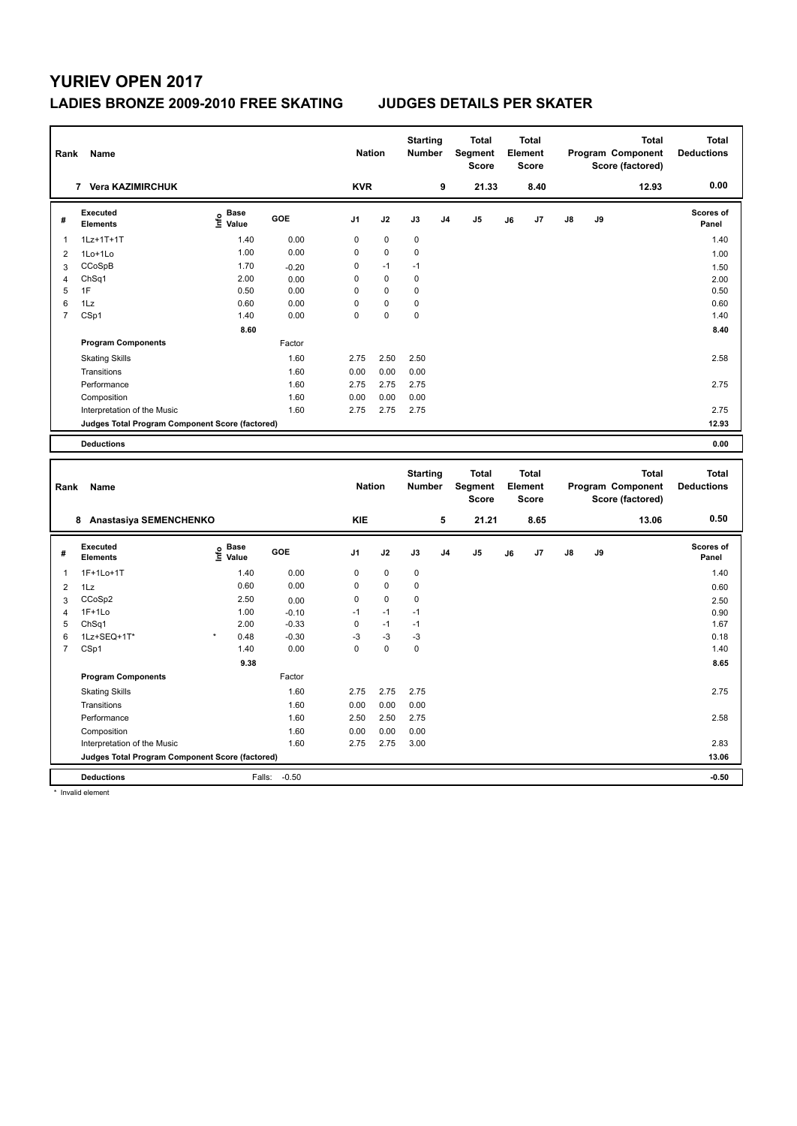### **LADIES BRONZE 2009-2010 FREE SKATING JUDGES DETAILS PER SKATER**

| Rank           | Name                                            |                                  |         | <b>Nation</b>  |             | <b>Starting</b><br><b>Number</b> |                | <b>Total</b><br>Segment<br><b>Score</b> |    | <b>Total</b><br>Element<br><b>Score</b> |               |    | <b>Total</b><br>Program Component<br>Score (factored) | <b>Total</b><br><b>Deductions</b> |
|----------------|-------------------------------------------------|----------------------------------|---------|----------------|-------------|----------------------------------|----------------|-----------------------------------------|----|-----------------------------------------|---------------|----|-------------------------------------------------------|-----------------------------------|
|                | 7 Vera KAZIMIRCHUK                              |                                  |         | <b>KVR</b>     |             |                                  | 9              | 21.33                                   |    | 8.40                                    |               |    | 12.93                                                 | 0.00                              |
| #              | Executed<br><b>Elements</b>                     | <b>Base</b><br>e Base<br>⊆ Value | GOE     | J <sub>1</sub> | J2          | J3                               | J <sub>4</sub> | J <sub>5</sub>                          | J6 | J7                                      | $\mathsf{J}8$ | J9 |                                                       | <b>Scores of</b><br>Panel         |
| 1              | 1Lz+1T+1T                                       | 1.40                             | 0.00    | 0              | 0           | 0                                |                |                                         |    |                                         |               |    |                                                       | 1.40                              |
| $\overline{2}$ | 1Lo+1Lo                                         | 1.00                             | 0.00    | 0              | $\mathbf 0$ | 0                                |                |                                         |    |                                         |               |    |                                                       | 1.00                              |
| 3              | CCoSpB                                          | 1.70                             | $-0.20$ | 0              | $-1$        | $-1$                             |                |                                         |    |                                         |               |    |                                                       | 1.50                              |
| 4              | ChSq1                                           | 2.00                             | 0.00    | $\Omega$       | $\mathbf 0$ | 0                                |                |                                         |    |                                         |               |    |                                                       | 2.00                              |
| 5              | 1F                                              | 0.50                             | 0.00    | $\Omega$       | $\mathbf 0$ | 0                                |                |                                         |    |                                         |               |    |                                                       | 0.50                              |
| 6              | 1Lz                                             | 0.60                             | 0.00    | $\Omega$       | $\mathbf 0$ | 0                                |                |                                         |    |                                         |               |    |                                                       | 0.60                              |
| $\overline{7}$ | CSp1                                            | 1.40                             | 0.00    | $\Omega$       | 0           | $\mathbf 0$                      |                |                                         |    |                                         |               |    |                                                       | 1.40                              |
|                |                                                 | 8.60                             |         |                |             |                                  |                |                                         |    |                                         |               |    |                                                       | 8.40                              |
|                | <b>Program Components</b>                       |                                  | Factor  |                |             |                                  |                |                                         |    |                                         |               |    |                                                       |                                   |
|                | <b>Skating Skills</b>                           |                                  | 1.60    | 2.75           | 2.50        | 2.50                             |                |                                         |    |                                         |               |    |                                                       | 2.58                              |
|                | Transitions                                     |                                  | 1.60    | 0.00           | 0.00        | 0.00                             |                |                                         |    |                                         |               |    |                                                       |                                   |
|                | Performance                                     |                                  | 1.60    | 2.75           | 2.75        | 2.75                             |                |                                         |    |                                         |               |    |                                                       | 2.75                              |
|                | Composition                                     |                                  | 1.60    | 0.00           | 0.00        | 0.00                             |                |                                         |    |                                         |               |    |                                                       |                                   |
|                | Interpretation of the Music                     |                                  | 1.60    | 2.75           | 2.75        | 2.75                             |                |                                         |    |                                         |               |    |                                                       | 2.75                              |
|                | Judges Total Program Component Score (factored) |                                  |         |                |             |                                  |                |                                         |    |                                         |               |    |                                                       | 12.93                             |
|                | <b>Deductions</b>                               |                                  |         |                |             |                                  |                |                                         |    |                                         |               |    |                                                       | 0.00                              |
|                |                                                 |                                  |         |                |             |                                  |                |                                         |    |                                         |               |    |                                                       |                                   |
| Rank           | Name                                            |                                  |         | <b>Nation</b>  |             | <b>Starting</b><br><b>Number</b> |                | <b>Total</b><br>Segment                 |    | <b>Total</b><br>Element                 |               |    | <b>Total</b><br><b>Program Component</b>              | <b>Total</b><br><b>Deductions</b> |

| Rank           | Name                                            |                                  |                   | <b>Nation</b>  |             | <b>Number</b> |                | Segment<br><b>Score</b> |    | Element<br><b>Score</b> |               |    | Program Component<br>Score (factored) | <b>Deductions</b>         |
|----------------|-------------------------------------------------|----------------------------------|-------------------|----------------|-------------|---------------|----------------|-------------------------|----|-------------------------|---------------|----|---------------------------------------|---------------------------|
|                | Anastasiya SEMENCHENKO<br>8                     |                                  |                   | <b>KIE</b>     |             |               | 5              | 21.21                   |    | 8.65                    |               |    | 13.06                                 | 0.50                      |
| #              | Executed<br><b>Elements</b>                     | <b>Base</b><br>e Base<br>⊆ Value | GOE               | J <sub>1</sub> | J2          | J3            | J <sub>4</sub> | J <sub>5</sub>          | J6 | J7                      | $\mathsf{J}8$ | J9 |                                       | <b>Scores of</b><br>Panel |
| 1              | 1F+1Lo+1T                                       | 1.40                             | 0.00              | 0              | $\mathbf 0$ | 0             |                |                         |    |                         |               |    |                                       | 1.40                      |
| 2              | 1Lz                                             | 0.60                             | 0.00              | 0              | $\mathbf 0$ | 0             |                |                         |    |                         |               |    |                                       | 0.60                      |
| 3              | CCoSp2                                          | 2.50                             | 0.00              | 0              | $\mathbf 0$ | 0             |                |                         |    |                         |               |    |                                       | 2.50                      |
| 4              | $1F+1Lo$                                        | 1.00                             | $-0.10$           | $-1$           | $-1$        | $-1$          |                |                         |    |                         |               |    |                                       | 0.90                      |
| 5              | Ch <sub>Sq1</sub>                               | 2.00                             | $-0.33$           | 0              | $-1$        | $-1$          |                |                         |    |                         |               |    |                                       | 1.67                      |
| 6              | 1Lz+SEQ+1T*                                     | $\star$<br>0.48                  | $-0.30$           | $-3$           | $-3$        | $-3$          |                |                         |    |                         |               |    |                                       | 0.18                      |
| $\overline{7}$ | CSp1                                            | 1.40                             | 0.00              | 0              | $\mathbf 0$ | 0             |                |                         |    |                         |               |    |                                       | 1.40                      |
|                |                                                 | 9.38                             |                   |                |             |               |                |                         |    |                         |               |    |                                       | 8.65                      |
|                | <b>Program Components</b>                       |                                  | Factor            |                |             |               |                |                         |    |                         |               |    |                                       |                           |
|                | <b>Skating Skills</b>                           |                                  | 1.60              | 2.75           | 2.75        | 2.75          |                |                         |    |                         |               |    |                                       | 2.75                      |
|                | Transitions                                     |                                  | 1.60              | 0.00           | 0.00        | 0.00          |                |                         |    |                         |               |    |                                       |                           |
|                | Performance                                     |                                  | 1.60              | 2.50           | 2.50        | 2.75          |                |                         |    |                         |               |    |                                       | 2.58                      |
|                | Composition                                     |                                  | 1.60              | 0.00           | 0.00        | 0.00          |                |                         |    |                         |               |    |                                       |                           |
|                | Interpretation of the Music                     |                                  | 1.60              | 2.75           | 2.75        | 3.00          |                |                         |    |                         |               |    |                                       | 2.83                      |
|                | Judges Total Program Component Score (factored) |                                  |                   |                |             |               |                |                         |    |                         |               |    |                                       | 13.06                     |
|                | <b>Deductions</b>                               |                                  | $-0.50$<br>Falls: |                |             |               |                |                         |    |                         |               |    |                                       | $-0.50$                   |

\* Invalid element